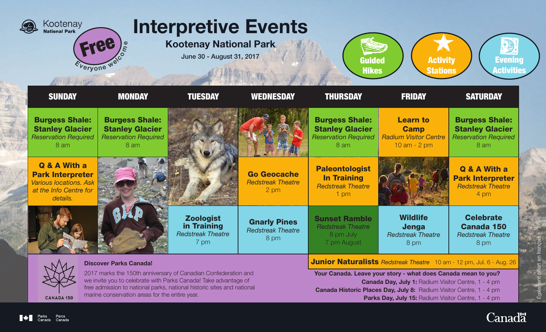

2017 marks the 150th anniversary of Canadian Confederation and we invite you to celebrate with Parks Canada! Take advantage of free admission to national parks, national historic sites and national marine conservation areas for the entire year.

Canada Day, July 1: Radium Visitor Centre, 1 - 4 pm

Canada Historic Places Day, July 8: Radium Visitor Centre, 1 - 4 pm

Parks Day, July 15: Radium Visitor Centre, 1 - 4 pm

**CANADA 150** 

- 03<br>- 03